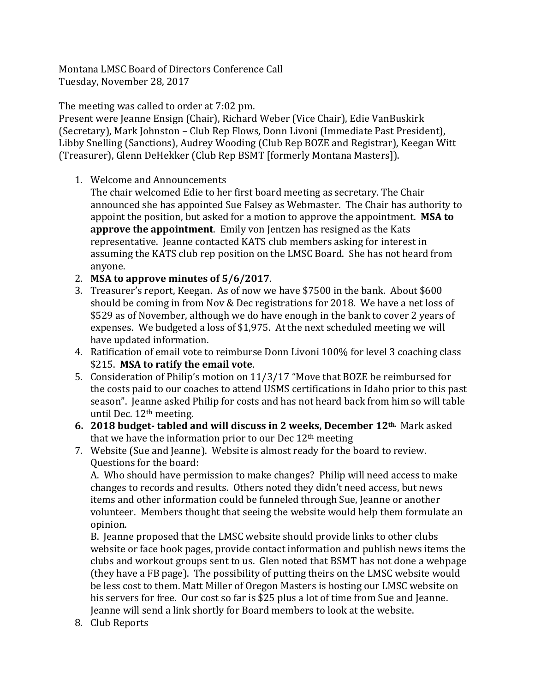Montana LMSC Board of Directors Conference Call Tuesday, November 28, 2017

The meeting was called to order at 7:02 pm.

Present were Jeanne Ensign (Chair), Richard Weber (Vice Chair), Edie VanBuskirk (Secretary), Mark Johnston – Club Rep Flows, Donn Livoni (Immediate Past President), Libby Snelling (Sanctions), Audrey Wooding (Club Rep BOZE and Registrar), Keegan Witt (Treasurer), Glenn DeHekker (Club Rep BSMT [formerly Montana Masters]).

1. Welcome and Announcements

The chair welcomed Edie to her first board meeting as secretary. The Chair announced she has appointed Sue Falsey as Webmaster. The Chair has authority to appoint the position, but asked for a motion to approve the appointment. **MSA to approve the appointment**. Emily von Jentzen has resigned as the Kats representative. Jeanne contacted KATS club members asking for interest in assuming the KATS club rep position on the LMSC Board. She has not heard from anyone.

- 2. **MSA to approve minutes of 5/6/2017**.
- 3. Treasurer's report, Keegan. As of now we have \$7500 in the bank. About \$600 should be coming in from Nov & Dec registrations for 2018. We have a net loss of \$529 as of November, although we do have enough in the bank to cover 2 years of expenses. We budgeted a loss of \$1,975. At the next scheduled meeting we will have updated information.
- 4. Ratification of email vote to reimburse Donn Livoni 100% for level 3 coaching class \$215. **MSA to ratify the email vote**.
- 5. Consideration of Philip's motion on 11/3/17 "Move that BOZE be reimbursed for the costs paid to our coaches to attend USMS certifications in Idaho prior to this past season". Jeanne asked Philip for costs and has not heard back from him so will table until Dec. 12<sup>th</sup> meeting.
- **6. 2018 budget- tabled and will discuss in 2 weeks, December 12th.** Mark asked that we have the information prior to our Dec  $12<sup>th</sup>$  meeting
- 7. Website (Sue and Jeanne). Website is almost ready for the board to review. Questions for the board:

A. Who should have permission to make changes? Philip will need access to make changes to records and results. Others noted they didn't need access, but news items and other information could be funneled through Sue, Jeanne or another volunteer. Members thought that seeing the website would help them formulate an opinion.

B. Jeanne proposed that the LMSC website should provide links to other clubs website or face book pages, provide contact information and publish news items the clubs and workout groups sent to us. Glen noted that BSMT has not done a webpage (they have a FB page). The possibility of putting theirs on the LMSC website would be less cost to them. Matt Miller of Oregon Masters is hosting our LMSC website on his servers for free. Our cost so far is \$25 plus a lot of time from Sue and Jeanne. Jeanne will send a link shortly for Board members to look at the website.

8. Club Reports